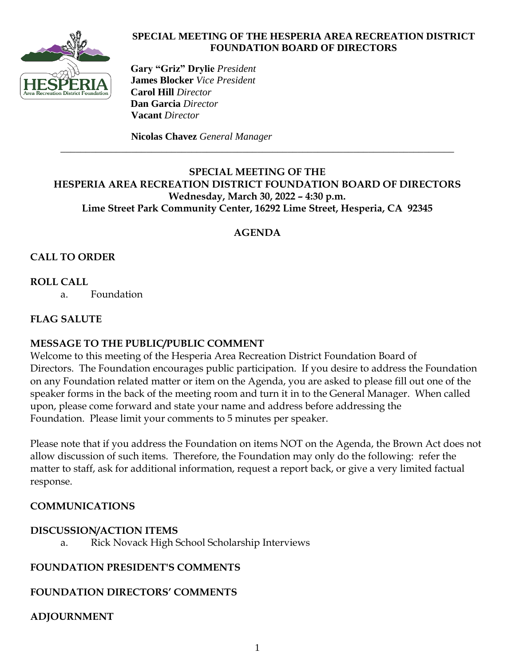

#### **SPECIAL MEETING OF THE HESPERIA AREA RECREATION DISTRICT FOUNDATION BOARD OF DIRECTORS**

 **Gary "Griz" Drylie** *President*  **James Blocker** *Vice President*  **Carol Hill** *Director*  **Dan Garcia** *Director*  **Vacant** *Director*

**Nicolas Chavez** *General Manager*

#### **SPECIAL MEETING OF THE HESPERIA AREA RECREATION DISTRICT FOUNDATION BOARD OF DIRECTORS Wednesday, March 30, 2022 – 4:30 p.m. Lime Street Park Community Center, 16292 Lime Street, Hesperia, CA 92345**

\_\_\_\_\_\_\_\_\_\_\_\_\_\_\_\_\_\_\_\_\_\_\_\_\_\_\_\_\_\_\_\_\_\_\_\_\_\_\_\_\_\_\_\_\_\_\_\_\_\_\_\_\_\_\_\_\_\_\_\_\_\_\_\_\_\_\_\_\_\_\_\_\_\_\_\_\_\_

### **AGENDA**

# **CALL TO ORDER**

# **ROLL CALL**

a. Foundation

# **FLAG SALUTE**

#### **MESSAGE TO THE PUBLIC/PUBLIC COMMENT**

Welcome to this meeting of the Hesperia Area Recreation District Foundation Board of Directors. The Foundation encourages public participation. If you desire to address the Foundation on any Foundation related matter or item on the Agenda, you are asked to please fill out one of the speaker forms in the back of the meeting room and turn it in to the General Manager. When called upon, please come forward and state your name and address before addressing the Foundation. Please limit your comments to 5 minutes per speaker.

Please note that if you address the Foundation on items NOT on the Agenda, the Brown Act does not allow discussion of such items. Therefore, the Foundation may only do the following: refer the matter to staff, ask for additional information, request a report back, or give a very limited factual response.

# **COMMUNICATIONS**

# **DISCUSSION/ACTION ITEMS**

a. Rick Novack High School Scholarship Interviews

# **FOUNDATION PRESIDENT'S COMMENTS**

# **FOUNDATION DIRECTORS' COMMENTS**

# **ADJOURNMENT**